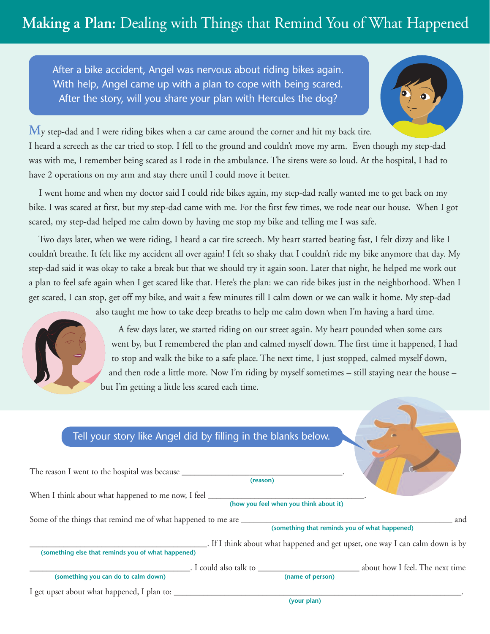## **Making a Plan:** Dealing with Things that Remind You of What Happened

After a bike accident, Angel was nervous about riding bikes again. With help, Angel came up with a plan to cope with being scared. After the story, will you share your plan with Hercules the dog?



My step-dad and I were riding bikes when a car came around the corner and hit my back tire.

I heard a screech as the car tried to stop. I fell to the ground and couldn't move my arm. Even though my step-dad was with me, I remember being scared as I rode in the ambulance. The sirens were so loud. At the hospital, I had to have 2 operations on my arm and stay there until I could move it better.

I went home and when my doctor said I could ride bikes again, my step-dad really wanted me to get back on my bike. I was scared at first, but my step-dad came with me. For the first few times, we rode near our house. When I got scared, my step-dad helped me calm down by having me stop my bike and telling me I was safe.

Two days later, when we were riding, I heard a car tire screech. My heart started beating fast, I felt dizzy and like I couldn't breathe. It felt like my accident all over again! I felt so shaky that I couldn't ride my bike anymore that day. My step-dad said it was okay to take a break but that we should try it again soon. Later that night, he helped me work out a plan to feel safe again when I get scared like that. Here's the plan: we can ride bikes just in the neighborhood. When I get scared, I can stop, get off my bike, and wait a few minutes till I calm down or we can walk it home. My step-dad



also taught me how to take deep breaths to help me calm down when I'm having a hard time.

A few days later, we started riding on our street again. My heart pounded when some cars went by, but I remembered the plan and calmed myself down. The first time it happened, I had to stop and walk the bike to a safe place. The next time, I just stopped, calmed myself down, and then rode a little more. Now I'm riding by myself sometimes – still staying near the house – but I'm getting a little less scared each time.

## Tell your story like Angel did by filling in the blanks below.

|                                                                                   | (reason)                               |                                               |                                                                               |
|-----------------------------------------------------------------------------------|----------------------------------------|-----------------------------------------------|-------------------------------------------------------------------------------|
| When I think about what happened to me now, I feel _______                        |                                        |                                               |                                                                               |
|                                                                                   | (how you feel when you think about it) |                                               |                                                                               |
| Some of the things that remind me of what happened to me are ____________________ |                                        |                                               | and                                                                           |
|                                                                                   |                                        | (something that reminds you of what happened) |                                                                               |
|                                                                                   |                                        |                                               | . If I think about what happened and get upset, one way I can calm down is by |
| (something else that reminds you of what happened)                                |                                        |                                               |                                                                               |
|                                                                                   | $\Box$ . I could also talk to $\Box$   |                                               | about how I feel. The next time                                               |
| (something you can do to calm down)                                               |                                        | (name of person)                              |                                                                               |
| I get upset about what happened, I plan to: ______                                |                                        |                                               |                                                                               |
|                                                                                   |                                        | (your plan)                                   |                                                                               |